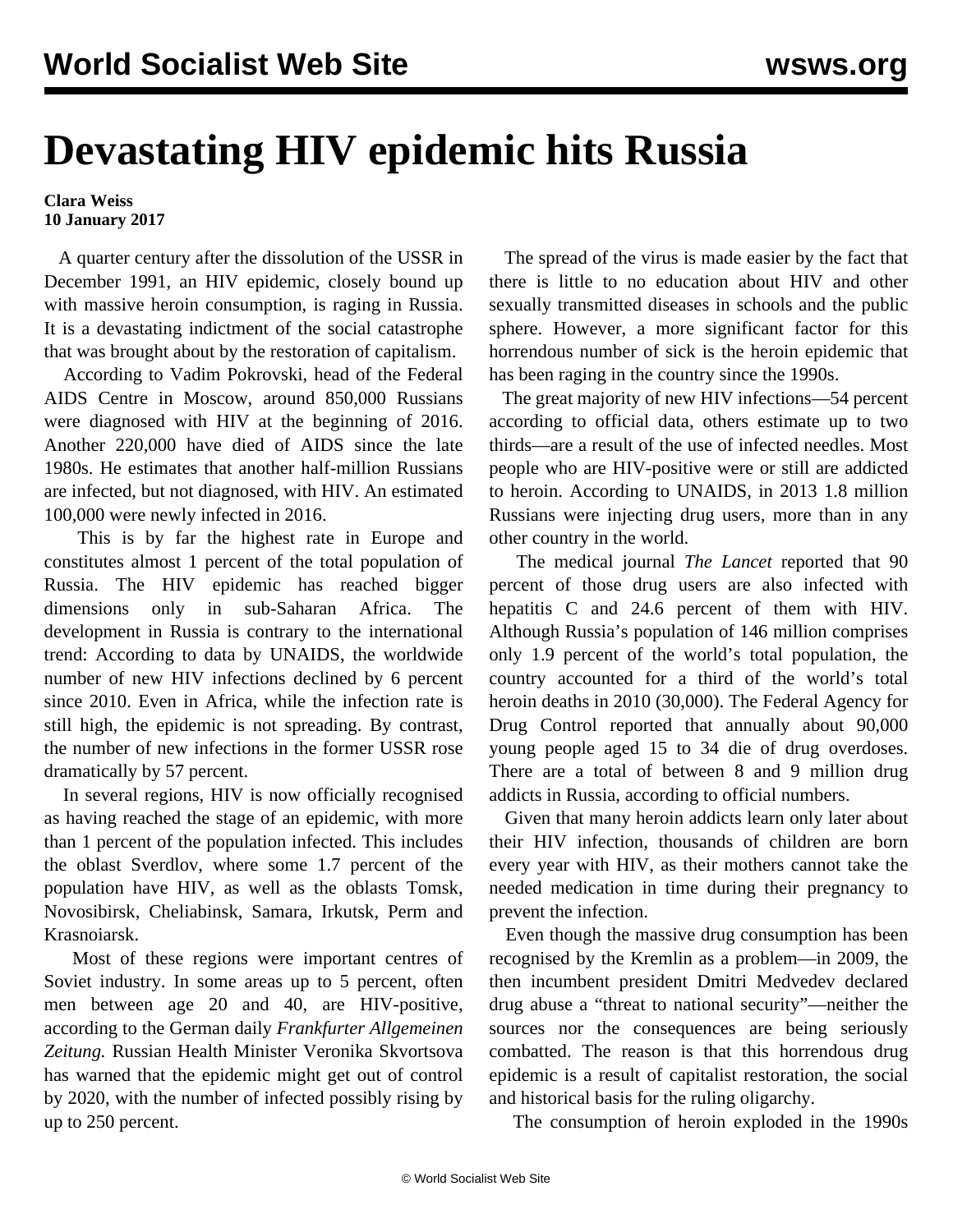## **Devastating HIV epidemic hits Russia**

## **Clara Weiss 10 January 2017**

 A quarter century after the [dissolution of the USSR](/en/articles/2016/12/30/ussr-d30.html) in December 1991, an HIV epidemic, closely bound up with massive heroin consumption, is raging in Russia. It is a devastating indictment of the social catastrophe that was brought about by the restoration of capitalism.

 According to Vadim Pokrovski, head of the Federal AIDS Centre in Moscow, around 850,000 Russians were diagnosed with HIV at the beginning of 2016. Another 220,000 have died of AIDS since the late 1980s. He estimates that another half-million Russians are infected, but not diagnosed, with HIV. An estimated 100,000 were newly infected in 2016.

 This is by far the highest rate in Europe and constitutes almost 1 percent of the total population of Russia. The HIV epidemic has reached bigger dimensions only in sub-Saharan Africa. The development in Russia is contrary to the international trend: According to data by UNAIDS, the worldwide number of new HIV infections declined by 6 percent since 2010. Even in Africa, while the infection rate is still high, the epidemic is not spreading. By contrast, the number of new infections in the former USSR rose dramatically by 57 percent.

 In several regions, HIV is now officially recognised as having reached the stage of an epidemic, with more than 1 percent of the population infected. This includes the oblast Sverdlov, where some 1.7 percent of the population have HIV, as well as the oblasts Tomsk, Novosibirsk, Cheliabinsk, Samara, Irkutsk, Perm and Krasnoiarsk.

 Most of these regions were important centres of Soviet industry. In some areas up to 5 percent, often men between age 20 and 40, are HIV-positive, according to the German daily *Frankfurter Allgemeinen Zeitung.* Russian Health Minister Veronika Skvortsova has warned that the epidemic might get out of control by 2020, with the number of infected possibly rising by up to 250 percent.

 The spread of the virus is made easier by the fact that there is little to no education about HIV and other sexually transmitted diseases in schools and the public sphere. However, a more significant factor for this horrendous number of sick is the heroin epidemic that has been raging in the country since the 1990s.

 The great majority of new HIV infections—54 percent according to official data, others estimate up to two thirds—are a result of the use of infected needles. Most people who are HIV-positive were or still are addicted to heroin. According to UNAIDS, in 2013 1.8 million Russians were injecting drug users, more than in any other country in the world.

 The medical journal *The Lancet* reported that 90 percent of those drug users are also infected with hepatitis C and 24.6 percent of them with HIV. Although Russia's population of 146 million comprises only 1.9 percent of the world's total population, the country accounted for a third of the world's total heroin deaths in 2010 (30,000). The Federal Agency for Drug Control reported that annually about 90,000 young people aged 15 to 34 die of drug overdoses. There are a total of between 8 and 9 million drug addicts in Russia, according to official numbers.

 Given that many heroin addicts learn only later about their HIV infection, thousands of children are born every year with HIV, as their mothers cannot take the needed medication in time during their pregnancy to prevent the infection.

 Even though the massive drug consumption has been recognised by the Kremlin as a problem—in 2009, the then incumbent president Dmitri Medvedev declared drug abuse a "threat to national security"—neither the sources nor the consequences are being seriously combatted. The reason is that this horrendous drug epidemic is a result of capitalist restoration, the social and historical basis for the ruling oligarchy.

The consumption of heroin exploded in the 1990s